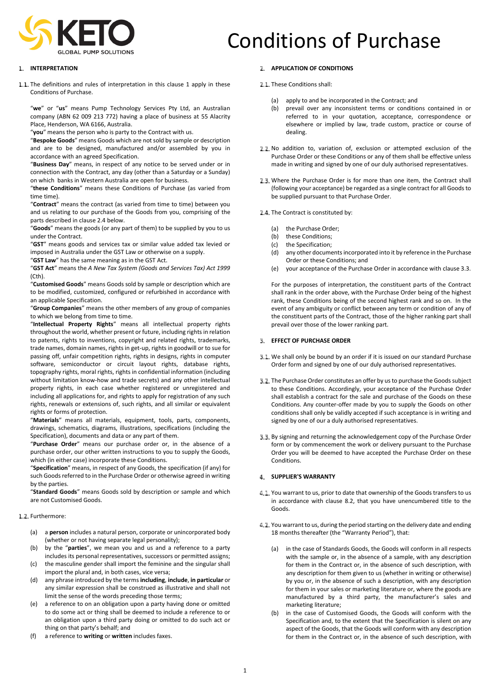

# **I. INTERPRETATION**

1.1. The definitions and rules of interpretation in this clause 1 apply in these Conditions of Purchase.

"**we**" or "**us**" means Pump Technology Services Pty Ltd, an Australian company (ABN 62 009 213 772) having a place of business at 55 Alacrity Place, Henderson, WA 6166, Australia.

"**you**" means the person who is party to the Contract with us.

"**Bespoke Goods**" means Goods which are not sold by sample or description and are to be designed, manufactured and/or assembled by you in accordance with an agreed Specification.

"**Business Day**" means, in respect of any notice to be served under or in connection with the Contract, any day (other than a Saturday or a Sunday) on which banks in Western Australia are open for business.

"**these Conditions**" means these Conditions of Purchase (as varied from time time).

"**Contract**" means the contract (as varied from time to time) between you and us relating to our purchase of the Goods from you, comprising of the parts described in claus[e 2.4](#page-0-0) below.

"**Goods**" means the goods (or any part of them) to be supplied by you to us under the Contract.

"**GST**" means goods and services tax or similar value added tax levied or imposed in Australia under the GST Law or otherwise on a supply.

"**GST Law**" has the same meaning as in the GST Act.

"**GST Act**" means the *A New Tax System (Goods and Services Tax) Act 1999* (Cth).

"**Customised Goods**" means Goods sold by sample or description which are to be modified, customized, configured or refurbished in accordance with an applicable Specification.

"**Group Companies**" means the other members of any group of companies to which we belong from time to time.

"**Intellectual Property Rights**" means all intellectual property rights throughout the world, whether present or future, including rights in relation to patents, rights to inventions, copyright and related rights, trademarks, trade names, domain names, rights in get-up, rights in goodwill or to sue for passing off, unfair competition rights, rights in designs, rights in computer software, semiconductor or circuit layout rights, database rights, topography rights, moral rights, rights in confidential information (including without limitation know-how and trade secrets) and any other intellectual property rights, in each case whether registered or unregistered and including all applications for, and rights to apply for registration of any such rights, renewals or extensions of, such rights, and all similar or equivalent rights or forms of protection.

"**Materials**" means all materials, equipment, tools, parts, components, drawings, schematics, diagrams, illustrations, specifications (including the Specification), documents and data or any part of them.

"**Purchase Order**" means our purchase order or, in the absence of a purchase order, our other written instructions to you to supply the Goods, which (in either case) incorporate these Conditions.

"**Specification**" means, in respect of any Goods, the specification (if any) for such Goods referred to in the Purchase Order or otherwise agreed in writing by the parties.

"**Standard Goods**" means Goods sold by description or sample and which are not Customised Goods.

#### 1.2. Furthermore:

- (a) a **person** includes a natural person, corporate or unincorporated body (whether or not having separate legal personality);
- (b) by the "**parties**", we mean you and us and a reference to a party includes its personal representatives, successors or permitted assigns;
- (c) the masculine gender shall import the feminine and the singular shall import the plural and, in both cases, vice versa;
- (d) any phrase introduced by the terms **including**, **include**, **in particular** or any similar expression shall be construed as illustrative and shall not limit the sense of the words preceding those terms;
- (e) a reference to on an obligation upon a party having done or omitted to do some act or thing shall be deemed to include a reference to or an obligation upon a third party doing or omitted to do such act or thing on that party's behalf; and
- (f) a reference to **writing** or **written** includes faxes.

# **2. APPLICATION OF CONDITIONS**

### 2.1. These Conditions shall:

- (a) apply to and be incorporated in the Contract; and
- (b) prevail over any inconsistent terms or conditions contained in or referred to in your quotation, acceptance, correspondence or elsewhere or implied by law, trade custom, practice or course of dealing.
- 2.2. No addition to, variation of, exclusion or attempted exclusion of the Purchase Order or these Conditions or any of them shall be effective unless made in writing and signed by one of our duly authorised representatives.
- 2.3. Where the Purchase Order is for more than one item, the Contract shall (following your acceptance) be regarded as a single contract for all Goods to be supplied pursuant to that Purchase Order.
- <span id="page-0-0"></span>2.4. The Contract is constituted by:
	-
	- (a) the Purchase Order;<br>(b) these Conditions: these Conditions;
	- (c) the Specification;
	- (d) any other documents incorporated into it by reference in the Purchase Order or these Conditions; and
	- (e) your acceptance of the Purchase Order in accordance with clause [3.3.](#page-0-1)

For the purposes of interpretation, the constituent parts of the Contract shall rank in the order above, with the Purchase Order being of the highest rank, these Conditions being of the second highest rank and so on. In the event of any ambiguity or conflict between any term or condition of any of the constituent parts of the Contract, those of the higher ranking part shall prevail over those of the lower ranking part.

# **EFFECT OF PURCHASE ORDER**

- 3.1. We shall only be bound by an order if it is issued on our standard Purchase Order form and signed by one of our duly authorised representatives.
- 3.2. The Purchase Order constitutes an offer by us to purchase the Goods subject to these Conditions. Accordingly, your acceptance of the Purchase Order shall establish a contract for the sale and purchase of the Goods on these Conditions. Any counter-offer made by you to supply the Goods on other conditions shall only be validly accepted if such acceptance is in writing and signed by one of our a duly authorised representatives.
- <span id="page-0-1"></span>3.3. By signing and returning the acknowledgement copy of the Purchase Order form or by commencement the work or delivery pursuant to the Purchase Order you will be deemed to have accepted the Purchase Order on these Conditions.

#### <span id="page-0-4"></span>**SUPPLIER'S WARRANTY**

- <span id="page-0-2"></span>4.1. You warrant to us, prior to date that ownership of the Goods transfers to us in accordance with clause [8.2,](#page-1-0) that you have unencumbered title to the Goods.
- <span id="page-0-3"></span>4.2. You warrant to us, during the period starting on the delivery date and ending 18 months thereafter (the "Warranty Period"), that:
	- (a) in the case of Standards Goods, the Goods will conform in all respects with the sample or, in the absence of a sample, with any description for them in the Contract or, in the absence of such description, with any description for them given to us (whether in writing or otherwise) by you or, in the absence of such a description, with any description for them in your sales or marketing literature or, where the goods are manufactured by a third party, the manufacturer's sales and marketing literature;
	- in the case of Customised Goods, the Goods will conform with the Specification and, to the extent that the Specification is silent on any aspect of the Goods, that the Goods will conform with any description for them in the Contract or, in the absence of such description, with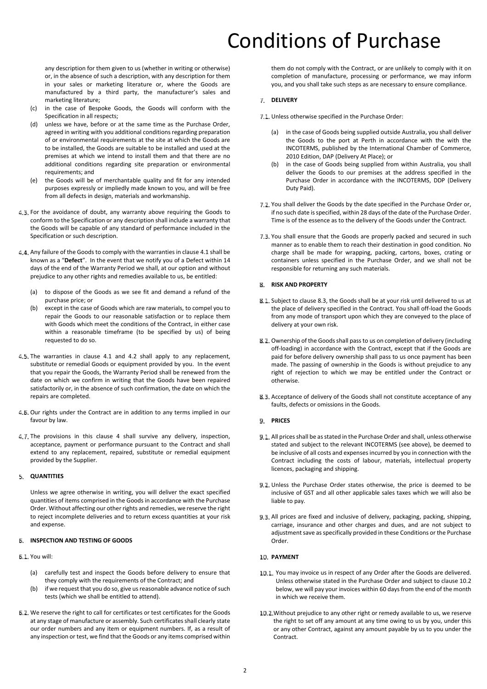any description for them given to us (whether in writing or otherwise) or, in the absence of such a description, with any description for them in your sales or marketing literature or, where the Goods are manufactured by a third party, the manufacturer's sales and marketing literature;

- (c) in the case of Bespoke Goods, the Goods will conform with the Specification in all respects;
- (d) unless we have, before or at the same time as the Purchase Order, agreed in writing with you additional conditions regarding preparation of or environmental requirements at the site at which the Goods are to be installed, the Goods are suitable to be installed and used at the premises at which we intend to install them and that there are no additional conditions regarding site preparation or environmental requirements; and
- (e) the Goods will be of merchantable quality and fit for any intended purposes expressly or impliedly made known to you, and will be free from all defects in design, materials and workmanship.
- For the avoidance of doubt, any warranty above requiring the Goods to conform to the Specification or any description shall include a warranty that the Goods will be capable of any standard of performance included in the Specification or such description.
- Any failure of the Goods to comply with the warranties in claus[e 4.1](#page-0-2) shall be known as a "**Defect**". In the event that we notify you of a Defect within 14 days of the end of the Warranty Period we shall, at our option and without prejudice to any other rights and remedies available to us, be entitled:
	- (a) to dispose of the Goods as we see fit and demand a refund of the purchase price; or
	- (b) except in the case of Goods which are raw materials, to compel you to repair the Goods to our reasonable satisfaction or to replace them with Goods which meet the conditions of the Contract, in either case within a reasonable timeframe (to be specified by us) of being requested to do so.
- 4.5. The warranties in clause [4.1](#page-0-2) and [4.2](#page-0-3) shall apply to any replacement, substitute or remedial Goods or equipment provided by you. In the event that you repair the Goods, the Warranty Period shall be renewed from the date on which we confirm in writing that the Goods have been repaired satisfactorily or, in the absence of such confirmation, the date on which the repairs are completed.
- 4.5. Our rights under the Contract are in addition to any terms implied in our favour by law.
- [4](#page-0-4).7. The provisions in this clause 4 shall survive any delivery, inspection, acceptance, payment or performance pursuant to the Contract and shall extend to any replacement, repaired, substitute or remedial equipment provided by the Supplier.

#### **QUANTITIES**

Unless we agree otherwise in writing, you will deliver the exact specified quantities of items comprised in the Goods in accordance with the Purchase Order. Without affecting our other rights and remedies, we reserve the right to reject incomplete deliveries and to return excess quantities at your risk and expense.

# **INSPECTION AND TESTING OF GOODS**

#### You will:

- (a) carefully test and inspect the Goods before delivery to ensure that they comply with the requirements of the Contract; and
- (b) if we request that you do so, give usreasonable advance notice of such tests (which we shall be entitled to attend).
- We reserve the right to call for certificates or test certificates for the Goods at any stage of manufacture or assembly. Such certificates shall clearly state our order numbers and any item or equipment numbers. If, as a result of any inspection or test, we find that the Goods or any items comprised within

them do not comply with the Contract, or are unlikely to comply with it on completion of manufacture, processing or performance, we may inform you, and you shall take such steps as are necessary to ensure compliance.

#### **DELIVERY**

7.1. Unless otherwise specified in the Purchase Order:

- (a) in the case of Goods being supplied outside Australia, you shall deliver the Goods to the port at Perth in accordance with the with the INCOTERMS, published by the International Chamber of Commerce, 2010 Edition, DAP (Delivery At Place); or
- (b) in the case of Goods being supplied from within Australia, you shall deliver the Goods to our premises at the address specified in the Purchase Order in accordance with the INCOTERMS, DDP (Delivery Duty Paid).
- 7.2. You shall deliver the Goods by the date specified in the Purchase Order or, if no such date is specified, within 28 days of the date of the Purchase Order. Time is of the essence as to the delivery of the Goods under the Contract.
- 7.3. You shall ensure that the Goods are properly packed and secured in such manner as to enable them to reach their destination in good condition. No charge shall be made for wrapping, packing, cartons, boxes, crating or containers unless specified in the Purchase Order, and we shall not be responsible for returning any such materials.

# **RISK AND PROPERTY**

- **E.1.** Subject to clause 8.3, the Goods shall be at your risk until delivered to us at the place of delivery specified in the Contract. You shall off-load the Goods from any mode of transport upon which they are conveyed to the place of delivery at your own risk.
- <span id="page-1-0"></span>**B. 2.** Ownership of the Goods shall pass to us on completion of delivery (including off-loading) in accordance with the Contract, except that if the Goods are paid for before delivery ownership shall pass to us once payment has been made. The passing of ownership in the Goods is without prejudice to any right of rejection to which we may be entitled under the Contract or otherwise.
- **B.3.** Acceptance of delivery of the Goods shall not constitute acceptance of any faults, defects or omissions in the Goods.

### **9. PRICES**

- All prices shall be as stated in the Purchase Order and shall, unless otherwise stated and subject to the relevant INCOTERMS (see above), be deemed to be inclusive of all costs and expenses incurred by you in connection with the Contract including the costs of labour, materials, intellectual property licences, packaging and shipping.
- Unless the Purchase Order states otherwise, the price is deemed to be inclusive of GST and all other applicable sales taxes which we will also be liable to pay.
- 9.3. All prices are fixed and inclusive of delivery, packaging, packing, shipping, carriage, insurance and other charges and dues, and are not subject to adjustment save as specifically provided in these Conditions or the Purchase Order.

#### **PAYMENT**

- 10.1. You may invoice us in respect of any Order after the Goods are delivered. Unless otherwise stated in the Purchase Order and subject to clause [10.2](#page-1-1) below, we will pay your invoices within 60 days from the end of the month in which we receive them.
- <span id="page-1-1"></span>10.2. Without prejudice to any other right or remedy available to us, we reserve the right to set off any amount at any time owing to us by you, under this or any other Contract, against any amount payable by us to you under the Contract.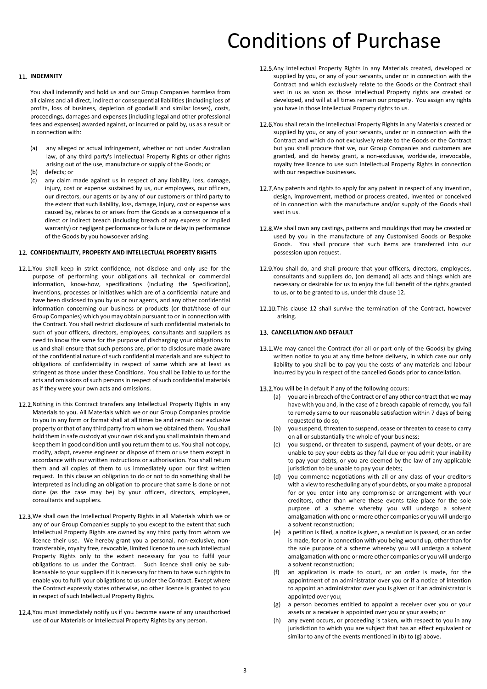# **IL. INDEMNITY**

You shall indemnify and hold us and our Group Companies harmless from all claims and all direct, indirect or consequential liabilities (including loss of profits, loss of business, depletion of goodwill and similar losses), costs, proceedings, damages and expenses (including legal and other professional fees and expenses) awarded against, or incurred or paid by, us as a result or in connection with:

- (a) any alleged or actual infringement, whether or not under Australian law, of any third party's Intellectual Property Rights or other rights arising out of the use, manufacture or supply of the Goods; or
- (b) defects; or
- (c) any claim made against us in respect of any liability, loss, damage, injury, cost or expense sustained by us, our employees, our officers, our directors, our agents or by any of our customers or third party to the extent that such liability, loss, damage, injury, cost or expense was caused by, relates to or arises from the Goods as a consequence of a direct or indirect breach (including breach of any express or implied warranty) or negligent performance or failure or delay in performance of the Goods by you howsoever arising.

#### <span id="page-2-0"></span>**CONFIDENTIALITY, PROPERTY AND INTELLECTUAL PROPERTY RIGHTS**

- 12.1. You shall keep in strict confidence, not disclose and only use for the purpose of performing your obligations all technical or commercial information, know-how, specifications (including the Specification), inventions, processes or initiatives which are of a confidential nature and have been disclosed to you by us or our agents, and any other confidential information concerning our business or products (or that/those of our Group Companies) which you may obtain pursuant to or in connection with the Contract. You shall restrict disclosure of such confidential materials to such of your officers, directors, employees, consultants and suppliers as need to know the same for the purpose of discharging your obligations to us and shall ensure that such persons are, prior to disclosure made aware of the confidential nature of such confidential materials and are subject to obligations of confidentiality in respect of same which are at least as stringent as those under these Conditions. You shall be liable to us for the acts and omissions of such persons in respect of such confidential materials as if they were your own acts and omissions.
- 12.2. Nothing in this Contract transfers any Intellectual Property Rights in any Materials to you. All Materials which we or our Group Companies provide to you in any form or format shall at all times be and remain our exclusive property or that of any third party from whom we obtained them. You shall hold them in safe custody at your own risk and you shall maintain them and keep them in good condition until you return them to us. You shall not copy, modify, adapt, reverse engineer or dispose of them or use them except in accordance with our written instructions or authorisation. You shall return them and all copies of them to us immediately upon our first written request. In this clause an obligation to do or not to do something shall be interpreted as including an obligation to procure that same is done or not done (as the case may be) by your officers, directors, employees, consultants and suppliers.
- 12.3. We shall own the Intellectual Property Rights in all Materials which we or any of our Group Companies supply to you except to the extent that such Intellectual Property Rights are owned by any third party from whom we licence their use. We hereby grant you a personal, non-exclusive, nontransferable, royalty free, revocable, limited licence to use such Intellectual Property Rights only to the extent necessary for you to fulfil your obligations to us under the Contract. Such licence shall only be sublicensable to your suppliers if it is necessary for them to have such rights to enable you to fulfil your obligations to us under the Contract. Except where the Contract expressly states otherwise, no other licence is granted to you in respect of such Intellectual Property Rights.
- 12.4. You must immediately notify us if you become aware of any unauthorised use of our Materials or Intellectual Property Rights by any person.
- 12.5. Any Intellectual Property Rights in any Materials created, developed or supplied by you, or any of your servants, under or in connection with the Contract and which exclusively relate to the Goods or the Contract shall vest in us as soon as those Intellectual Property rights are created or developed, and will at all times remain our property. You assign any rights you have in those Intellectual Property rights to us.
- 12.5 You shall retain the Intellectual Property Rights in any Materials created or supplied by you, or any of your servants, under or in connection with the Contract and which do not exclusively relate to the Goods or the Contract but you shall procure that we, our Group Companies and customers are granted, and do hereby grant, a non-exclusive, worldwide, irrevocable, royalty free licence to use such Intellectual Property Rights in connection with our respective businesses.
- 12.7. Any patents and rights to apply for any patent in respect of any invention, design, improvement, method or process created, invented or conceived of in connection with the manufacture and/or supply of the Goods shall vest in us.
- 12.8. We shall own any castings, patterns and mouldings that may be created or used by you in the manufacture of any Customised Goods or Bespoke Goods. You shall procure that such items are transferred into our possession upon request.
- 12.9. You shall do, and shall procure that your officers, directors, employees, consultants and suppliers do, (on demand) all acts and things which are necessary or desirable for us to enjoy the full benefit of the rights granted to us, or to be granted to us, under this clause [12.](#page-2-0)
- [12](#page-2-0).10. This clause 12 shall survive the termination of the Contract, however arising.

#### **CANCELLATION AND DEFAULT**

- 13.1. We may cancel the Contract (for all or part only of the Goods) by giving written notice to you at any time before delivery, in which case our only liability to you shall be to pay you the costs of any materials and labour incurred by you in respect of the cancelled Goods prior to cancellation.
- 13.2 You will be in default if any of the following occurs:
	- (a) you are in breach of the Contract or of any other contract that we may have with you and, in the case of a breach capable of remedy, you fail to remedy same to our reasonable satisfaction within 7 days of being requested to do so;
	- (b) you suspend, threaten to suspend, cease or threaten to cease to carry on all or substantially the whole of your business;
	- (c) you suspend, or threaten to suspend, payment of your debts, or are unable to pay your debts as they fall due or you admit your inability to pay your debts, or you are deemed by the law of any applicable jurisdiction to be unable to pay your debts;
	- (d) you commence negotiations with all or any class of your creditors with a view to rescheduling any of your debts, or you make a proposal for or you enter into any compromise or arrangement with your creditors, other than where these events take place for the sole purpose of a scheme whereby you will undergo a solvent amalgamation with one or more other companies or you will undergo a solvent reconstruction;
	- (e) a petition is filed, a notice is given, a resolution is passed, or an order is made, for or in connection with you being wound up, other than for the sole purpose of a scheme whereby you will undergo a solvent amalgamation with one or more other companies or you will undergo a solvent reconstruction;
	- (f) an application is made to court, or an order is made, for the appointment of an administrator over you or if a notice of intention to appoint an administrator over you is given or if an administrator is appointed over you;
	- (g) a person becomes entitled to appoint a receiver over you or your assets or a receiver is appointed over you or your assets; or
	- (h) any event occurs, or proceeding is taken, with respect to you in any jurisdiction to which you are subject that has an effect equivalent or similar to any of the events mentioned in (b) to (g) above.